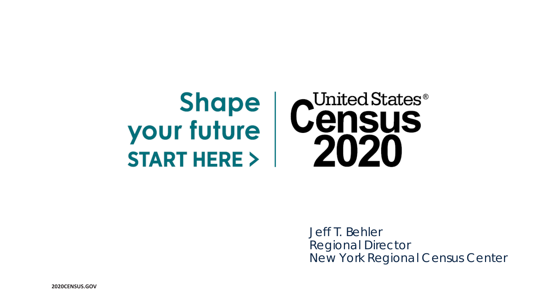## United States $^\circ$ **Shape Census** your future 2020 **START HERE >**

Jeff T. Behler Regional Director New York Regional Census Center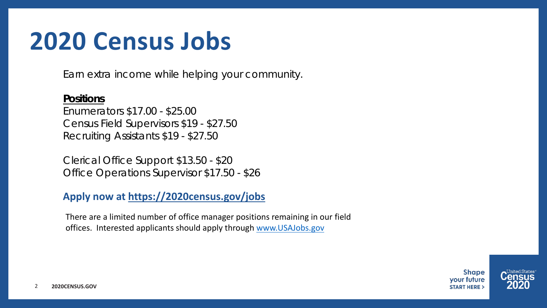# **2020 Census Jobs**

Earn extra income while helping your community.

### **Positions**

Enumerators \$17.00 - \$25.00 Census Field Supervisors \$19 - \$27.50 Recruiting Assistants \$19 - \$27.50

Clerical Office Support \$13.50 - \$20 Office Operations Supervisor \$17.50 - \$26

### **Apply now at <https://2020census.gov/jobs>**

There are a limited number of office manager positions remaining in our field offices. Interested applicants should apply through [www.USAJobs.gov](http://www.usajobs.gov/)

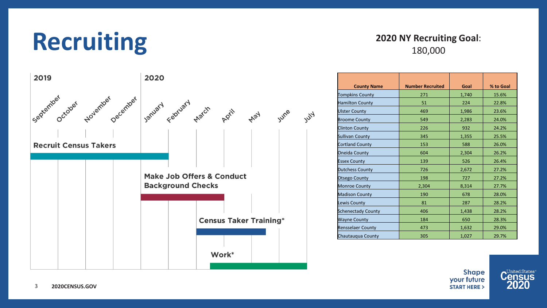# **Recruiting**

### **2020 NY Recruiting Goal**: 180,000



|                           |                         | Goal  |           |
|---------------------------|-------------------------|-------|-----------|
| <b>County Name</b>        | <b>Number Recruited</b> |       | % to Goal |
| <b>Tompkins County</b>    | 271                     | 1,740 | 15.6%     |
| <b>Hamilton County</b>    | 51                      | 224   | 22.8%     |
| <b>Ulster County</b>      | 469                     | 1,986 | 23.6%     |
| <b>Broome County</b>      | 549                     | 2,283 | 24.0%     |
| <b>Clinton County</b>     | 226                     | 932   | 24.2%     |
| Sullivan County           | 345                     | 1,355 | 25.5%     |
| Cortland County           | 153                     | 588   | 26.0%     |
| <b>Oneida County</b>      | 604                     | 2,304 | 26.2%     |
| <b>Essex County</b>       | 139                     | 526   | 26.4%     |
| <b>Dutchess County</b>    | 726                     | 2,672 | 27.2%     |
| Otsego County             | 198                     | 727   | 27.2%     |
| <b>Monroe County</b>      | 2,304                   | 8,314 | 27.7%     |
| <b>Madison County</b>     | 190                     | 678   | 28.0%     |
| Lewis County              | 81                      | 287   | 28.2%     |
| <b>Schenectady County</b> | 406                     | 1,438 | 28.2%     |
| <b>Wayne County</b>       | 184                     | 650   | 28.3%     |
| <b>Rensselaer County</b>  | 473                     | 1,632 | 29.0%     |
| Chautauqua County         | 305                     | 1,027 | 29.7%     |

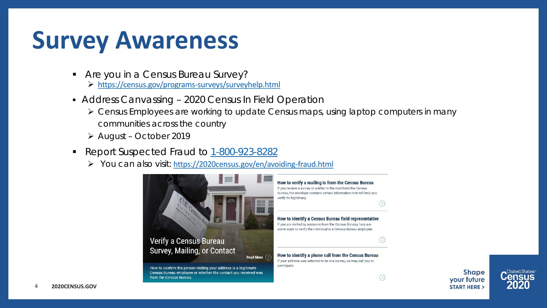# **Survey Awareness**

- **Are you in a Census Bureau Survey?** 
	- <https://census.gov/programs-surveys/surveyhelp.html>
- Address Canvassing 2020 Census In Field Operation
	- $\triangleright$  Census Employees are working to update Census maps, using laptop computers in many communities across the country

**Read More**  $\bigcirc$ 

- August October 2019
- Report Suspected Fraud to [1-800-923-8282](tel:800-923-8282)
	- You can also visit: <https://2020census.gov/en/avoiding-fraud.html>



### Verify a Census Bureau Survey, Mailing, or Contact

How to confirm the person visiting your address is a legitimate Census Bureau employee or whether the contact you received was from the Census Bureau.



 $\odot$ 

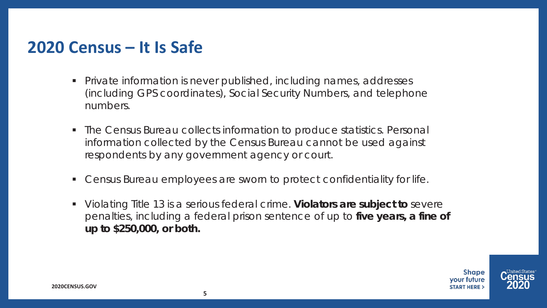# **2020 Census – It Is Safe**

- Private information is never published, including names, addresses (including GPS coordinates), Social Security Numbers, and telephone numbers.
- The Census Bureau collects information to produce statistics. Personal information collected by the Census Bureau cannot be used against respondents by any government agency or court.
- Census Bureau employees are sworn to protect confidentiality for life.
- Violating Title 13 is a serious federal crime. **Violators are subject to** severe penalties, including a federal prison sentence of up to **five years, a fine of up to \$250,000, or both.**



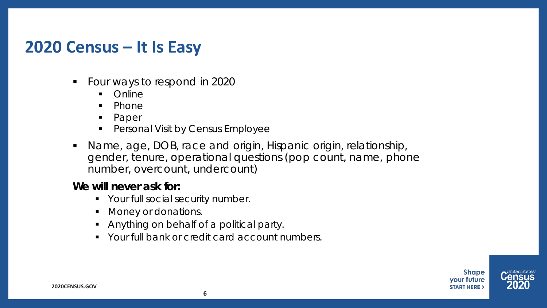## **2020 Census – It Is Easy**

- Four ways to respond in 2020
	- Online
	- $\n **Phone**\n$
	- Paper
	- **•** Personal Visit by Census Employee
- Name, age, DOB, race and origin, Hispanic origin, relationship, gender, tenure, operational questions (pop count, name, phone number, overcount, undercount)

### **We will never ask for:**

- Your full social security number.
- **Money or donations.**
- Anything on behalf of a political party.
- **Your full bank or credit card account numbers.**



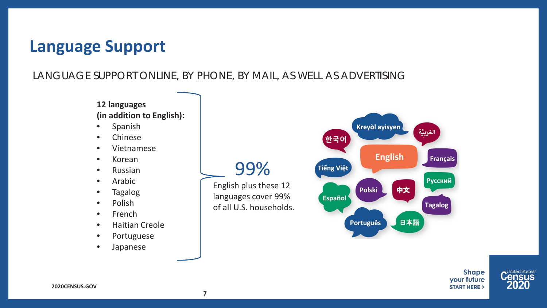## **Language Support**

### LANGUAGE SUPPORT ONLINE, BY PHONE, BY MAIL, AS WELL AS ADVERTISING

English plus these 12 languages cover 99% of all U.S. households.

99%

#### **12 languages (in addition to English):**

- Spanish
- Chinese
- Vietnamese
- Korean
- Russian
- Arabic
- Tagalog
- Polish
- French
- Haitian Creole
- Portuguese
- Japanese



**Shape** your future **START HERE >** 



**7**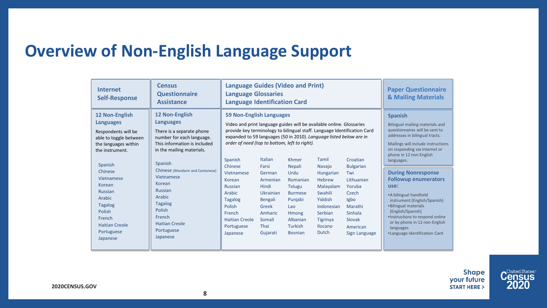# **Overview of Non-English Language Support**

| <b>Internet</b><br><b>Self-Response</b>                                                                                                                                                                                              | <b>Census</b><br><b>Questionnaire</b><br><b>Assistance</b>                                                                                                                                                                                                                               | <b>Language Guides (Video and Print)</b><br><b>Language Glossaries</b><br><b>Language Identification Card</b>                                                                                                                                                                                                                                                                                                     |                                                                                         |                                                                                          | <b>Paper Questionnaire</b><br><b>&amp; Mailing Materials</b>                            |                                                                                                                                     |                                                                                                                                                                                                                                                                                                                                                                                             |  |
|--------------------------------------------------------------------------------------------------------------------------------------------------------------------------------------------------------------------------------------|------------------------------------------------------------------------------------------------------------------------------------------------------------------------------------------------------------------------------------------------------------------------------------------|-------------------------------------------------------------------------------------------------------------------------------------------------------------------------------------------------------------------------------------------------------------------------------------------------------------------------------------------------------------------------------------------------------------------|-----------------------------------------------------------------------------------------|------------------------------------------------------------------------------------------|-----------------------------------------------------------------------------------------|-------------------------------------------------------------------------------------------------------------------------------------|---------------------------------------------------------------------------------------------------------------------------------------------------------------------------------------------------------------------------------------------------------------------------------------------------------------------------------------------------------------------------------------------|--|
| 12 Non-English<br><b>Languages</b><br>Respondents will be<br>able to toggle between<br>the languages within<br>the instrument.<br>Spanish<br>Chinese<br>Vietnamese<br>Korean<br><b>Russian</b><br>Arabic<br><b>Tagalog</b><br>Polish | 12 Non-English<br><b>Languages</b><br>There is a separate phone<br>number for each language.<br>This information is included<br>in the mailing materials.<br>Spanish<br>Chinese (Mandarin and Cantonese)<br>Vietnamese<br>Korean<br><b>Russian</b><br>Arabic<br><b>Tagalog</b><br>Polish | <b>59 Non-English Languages</b><br>Video and print language guides will be available online. Glossaries<br>provide key terminology to bilingual staff. Language Identification Card<br>expanded to 59 languages (50 in 2010). Language listed below are in<br>order of need (top to bottom, left to right).<br>Spanish<br>Chinese<br>Vietnamese<br>Korean<br><b>Russian</b><br>Arabic<br><b>Tagalog</b><br>Polish | <b>Italian</b><br>Farsi<br>German<br>Armenian<br>Hindi<br>Ukrainian<br>Bengali<br>Greek | Khmer<br>Nepali<br>Urdu<br>Romanian<br><b>Telugu</b><br><b>Burmese</b><br>Punjabi<br>Lao | Tamil<br>Navajo<br>Hungarian<br>Hebrew<br>Malayalam<br>Swahili<br>Yiddish<br>Indonesian | Croatian<br><b>Bulgarian</b><br>Twi<br>Lithuanian<br>Yoruba<br>Czech<br>Igbo<br>Marathi                                             | <b>Spanish</b><br>Bilingual mailing materials and<br>questionnaires will be sent to<br>addresses in bilingual tracts.<br>Mailings will include instructions<br>on responding via Internet or<br>phone in 12 non-English<br>languages.<br><b>During Nonresponse</b><br><b>Followup enumerators</b><br>use:<br>• A bilingual handheld<br>instrument (English/Spanish)<br>.Bilingual materials |  |
| French<br>French<br><b>Haitian Creole</b><br><b>Haitian Creole</b><br>Portuguese<br>Portuguese<br>Japanese<br>Japanese                                                                                                               | French<br><b>Haitian Creole</b><br>Portuguese<br>Japanese                                                                                                                                                                                                                                | Amharic<br>Somali<br>Thai<br>Gujarati                                                                                                                                                                                                                                                                                                                                                                             | <b>Hmong</b><br>Albanian<br>Turkish<br><b>Bosnian</b>                                   | Serbian<br>Tigrinya<br><b>Ilocano</b><br>Dutch                                           | <b>Sinhala</b><br>Slovak<br>American<br>Sign Language                                   | (English/Spanish)<br>.Instructions to respond online<br>or by phone in 12 non-English<br>languages<br>•Language Identification Card |                                                                                                                                                                                                                                                                                                                                                                                             |  |



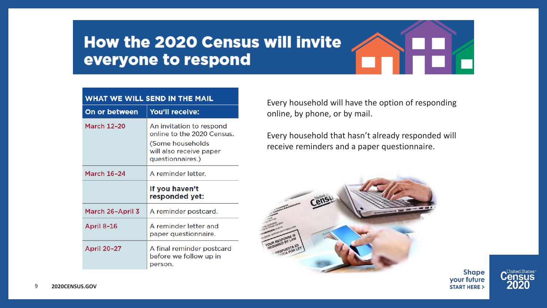## How the 2020 Census will invite everyone to respond

| <b>On or between</b>    | <b>You'll receive:</b>                                                                                                    |  |
|-------------------------|---------------------------------------------------------------------------------------------------------------------------|--|
| <b>March 12-20</b>      | An invitation to respond<br>online to the 2020 Census.<br>(Some households<br>will also receive paper<br>questionnaires.) |  |
| <b>March 16-24</b>      | A reminder letter.                                                                                                        |  |
|                         | If you haven't<br>responded yet:                                                                                          |  |
| <b>March 26-April 3</b> | A reminder postcard.                                                                                                      |  |
| <b>April 8-16</b>       | A reminder letter and<br>paper questionnaire.                                                                             |  |
| <b>April 20-27</b>      | A final reminder postcard<br>before we follow up in<br>person.                                                            |  |

Every household will have the option of responding online, by phone, or by mail.

Every household that hasn't already responded will receive reminders and a paper questionnaire.



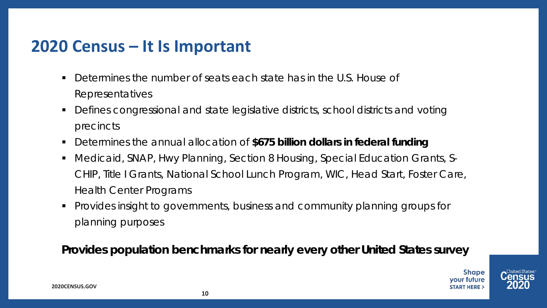## **2020 Census – It Is Important**

- Determines the number of seats each state has in the U.S. House of Representatives
- Defines congressional and state legislative districts, school districts and voting precincts
- Determines the annual allocation of **\$675 billion dollars in federal funding**
- Medicaid, SNAP, Hwy Planning, Section 8 Housing, Special Education Grants, S-CHIP, Title I Grants, National School Lunch Program, WIC, Head Start, Foster Care, Health Center Programs
- Provides insight to governments, business and community planning groups for planning purposes

**Provides population benchmarks for nearly every other United States survey**

**Shape** vour future

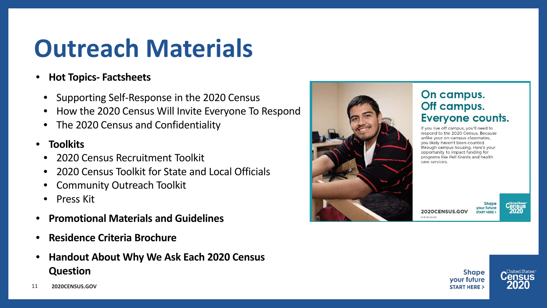# **Outreach Materials**

- **Hot Topics- Factsheets**
	- Supporting Self-Response in the 2020 Census
	- How the 2020 Census Will Invite Everyone To Respond
	- The 2020 Census and Confidentiality
- **Toolkits**
	- 2020 Census Recruitment Toolkit
	- 2020 Census Toolkit for State and Local Officials
	- Community Outreach Toolkit
	- Press Kit
- **Promotional Materials and Guidelines**
- **Residence Criteria Brochure**
- **Handout About Why We Ask Each 2020 Census Question**



## On campus. Off campus. **Everyone counts.**

If you live off campus, you'll need to respond to the 2020 Census. Because unlike your on-campus classmates, vou likely haven't been counted through campus housing. Here's your opportunity to impact funding for programs like Pell Grants and health care services.

**Shape** your future 2020CENSUS.GOV **START HERE:** 

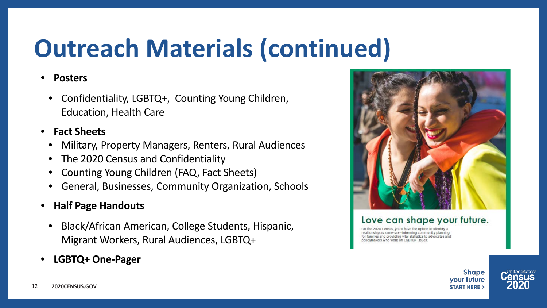# **Outreach Materials (continued)**

### • **Posters**

• Confidentiality, LGBTQ+, Counting Young Children, Education, Health Care

### • **Fact Sheets**

- Military, Property Managers, Renters, Rural Audiences
- The 2020 Census and Confidentiality
- Counting Young Children (FAQ, Fact Sheets)
- General, Businesses, Community Organization, Schools
- **Half Page Handouts**
	- Black/African American, College Students, Hispanic, Migrant Workers, Rural Audiences, LGBTQ+
- **LGBTQ+ One-Pager**



#### Love can shape your future.

relationship as same-sex-informing community planning for families and providing vital statistics to advocates and licymakers who work on LGBTQ+ Issues

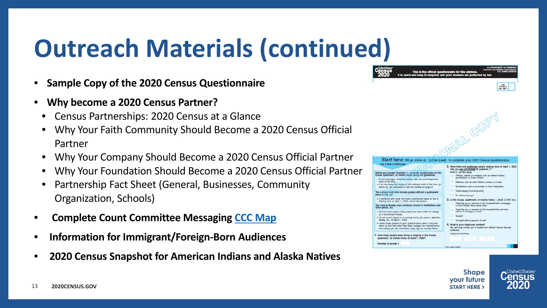# **Outreach Materials (continued)**

- **Sample Copy of the 2020 Census Questionnaire**
- **Why become a 2020 Census Partner?**
	- Census Partnerships: 2020 Census at a Glance
	- Why Your Faith Community Should Become a 2020 Census Official Partner
	- Why Your Company Should Become a 2020 Census Official Partner
	- Why Your Foundation Should Become a 2020 Census Official Partner
	- Partnership Fact Sheet (General, Businesses, Community Organization, Schools)
- **Complete Count Committee Messaging [CCC Map](https://www.census.gov/library/visualizations/interactive/2020-complete-count-committees.html)**
- **Information for Immigrant/Foreign-Born Audiences**
- **2020 Census Snapshot for American Indians and Alaska Natives**



This is the official questionnaire for this address It is quick and easy to respond, and your answers are pr





**United States** 

FOR<br>OFFICIAL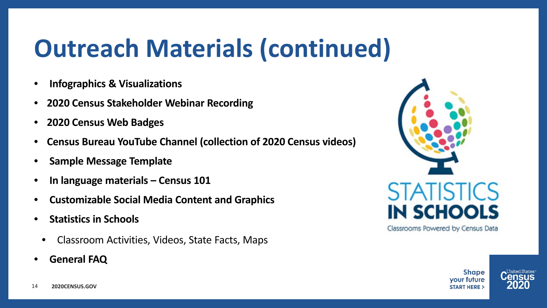# **Outreach Materials (continued)**

- **Infographics & Visualizations**
- **2020 Census Stakeholder Webinar Recording**
- **2020 Census Web Badges**
- **Census Bureau YouTube Channel (collection of 2020 Census videos)**
- **Sample Message Template**
- **In language materials – Census 101**
- **Customizable Social Media Content and Graphics**
- **Statistics in Schools**
- Classroom Activities, Videos, State Facts, Maps
- **General FAQ**



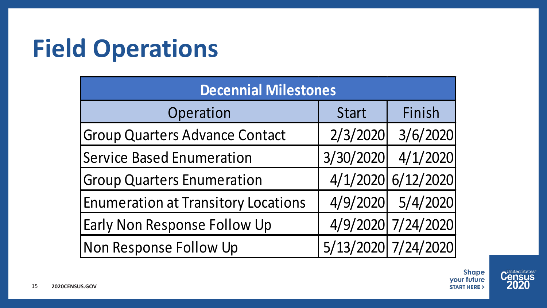# **Field Operations**

| <b>Decennial Milestones</b>                |              |                     |  |  |  |  |
|--------------------------------------------|--------------|---------------------|--|--|--|--|
| Operation                                  | <b>Start</b> | Finish              |  |  |  |  |
| <b>Group Quarters Advance Contact</b>      | 2/3/2020     | 3/6/2020            |  |  |  |  |
| <b>Service Based Enumeration</b>           | 3/30/2020    | 4/1/2020            |  |  |  |  |
| <b>Group Quarters Enumeration</b>          |              | 4/1/2020 6/12/2020  |  |  |  |  |
| <b>Enumeration at Transitory Locations</b> |              | 4/9/2020 5/4/2020   |  |  |  |  |
| Early Non Response Follow Up               |              | 4/9/2020 7/24/2020  |  |  |  |  |
| Non Response Follow Up                     |              | 5/13/2020 7/24/2020 |  |  |  |  |

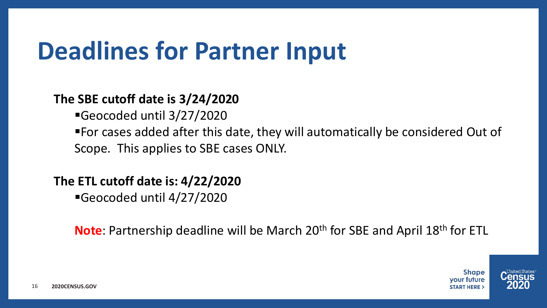# **Deadlines for Partner Input**

## **The SBE cutoff date is 3/24/2020**

Geocoded until 3/27/2020

For cases added after this date, they will automatically be considered Out of Scope. This applies to SBE cases ONLY.

**The ETL cutoff date is: 4/22/2020**

Geocoded until 4/27/2020

**Note**: Partnership deadline will be March 20<sup>th</sup> for SBE and April 18<sup>th</sup> for ETL

**Shape** vour future

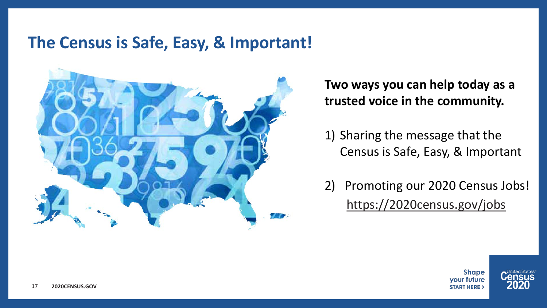## **The Census is Safe, Easy, & Important!**



**Two ways you can help today as a trusted voice in the community.** 

1) Sharing the message that the Census is Safe, Easy, & Important

2) Promoting our 2020 Census Jobs! <https://2020census.gov/jobs>